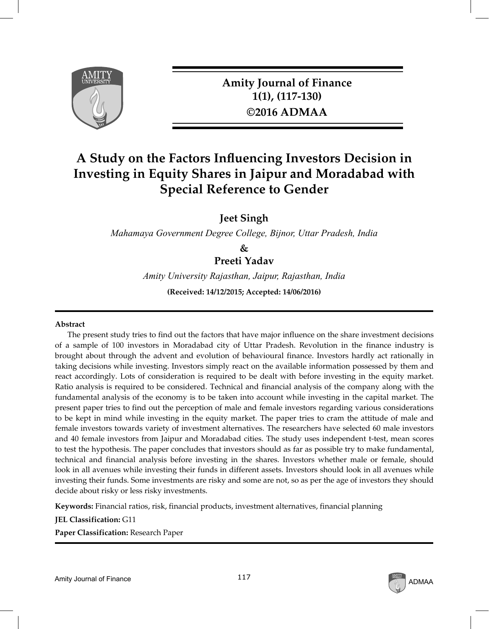

**Amity Journal of Finance 1(1), (117-130) ©2016 ADMAA**

# **A Study on the Factors Influencing Investors Decision in Investing in Equity Shares in Jaipur and Moradabad with Special Reference to Gender**

**Jeet Singh**

*Mahamaya Government Degree College, Bijnor, Uttar Pradesh, India*

**&**

**Preeti Yadav**

*Amity University Rajasthan, Jaipur, Rajasthan, India*

**(Received: 14/12/2015; Accepted: 14/06/2016)**

#### **Abstract**

The present study tries to find out the factors that have major influence on the share investment decisions of a sample of 100 investors in Moradabad city of Uttar Pradesh. Revolution in the finance industry is brought about through the advent and evolution of behavioural finance. Investors hardly act rationally in taking decisions while investing. Investors simply react on the available information possessed by them and react accordingly. Lots of consideration is required to be dealt with before investing in the equity market. Ratio analysis is required to be considered. Technical and financial analysis of the company along with the fundamental analysis of the economy is to be taken into account while investing in the capital market. The present paper tries to find out the perception of male and female investors regarding various considerations to be kept in mind while investing in the equity market. The paper tries to cram the attitude of male and female investors towards variety of investment alternatives. The researchers have selected 60 male investors and 40 female investors from Jaipur and Moradabad cities. The study uses independent t-test, mean scores to test the hypothesis. The paper concludes that investors should as far as possible try to make fundamental, technical and financial analysis before investing in the shares. Investors whether male or female, should look in all avenues while investing their funds in different assets. Investors should look in all avenues while investing their funds. Some investments are risky and some are not, so as per the age of investors they should decide about risky or less risky investments.

**Keywords:** Financial ratios, risk, financial products, investment alternatives, financial planning

**JEL Classification:** G11

**Paper Classification:** Research Paper

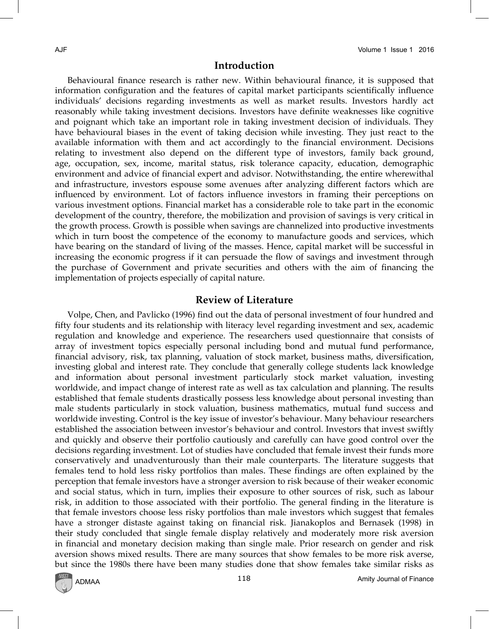### **Introduction**

Behavioural finance research is rather new. Within behavioural finance, it is supposed that information configuration and the features of capital market participants scientifically influence individuals' decisions regarding investments as well as market results. Investors hardly act reasonably while taking investment decisions. Investors have definite weaknesses like cognitive and poignant which take an important role in taking investment decision of individuals. They have behavioural biases in the event of taking decision while investing. They just react to the available information with them and act accordingly to the financial environment. Decisions relating to investment also depend on the different type of investors, family back ground, age, occupation, sex, income, marital status, risk tolerance capacity, education, demographic environment and advice of financial expert and advisor. Notwithstanding, the entire wherewithal and infrastructure, investors espouse some avenues after analyzing different factors which are influenced by environment. Lot of factors influence investors in framing their perceptions on various investment options. Financial market has a considerable role to take part in the economic development of the country, therefore, the mobilization and provision of savings is very critical in the growth process. Growth is possible when savings are channelized into productive investments which in turn boost the competence of the economy to manufacture goods and services, which have bearing on the standard of living of the masses. Hence, capital market will be successful in increasing the economic progress if it can persuade the flow of savings and investment through the purchase of Government and private securities and others with the aim of financing the implementation of projects especially of capital nature.

# **Review of Literature**

Volpe, Chen, and Pavlicko (1996) find out the data of personal investment of four hundred and fifty four students and its relationship with literacy level regarding investment and sex, academic regulation and knowledge and experience. The researchers used questionnaire that consists of array of investment topics especially personal including bond and mutual fund performance, financial advisory, risk, tax planning, valuation of stock market, business maths, diversification, investing global and interest rate. They conclude that generally college students lack knowledge and information about personal investment particularly stock market valuation, investing worldwide, and impact change of interest rate as well as tax calculation and planning. The results established that female students drastically possess less knowledge about personal investing than male students particularly in stock valuation, business mathematics, mutual fund success and worldwide investing. Control is the key issue of investor's behaviour. Many behaviour researchers established the association between investor's behaviour and control. Investors that invest swiftly and quickly and observe their portfolio cautiously and carefully can have good control over the decisions regarding investment. Lot of studies have concluded that female invest their funds more conservatively and unadventurously than their male counterparts. The literature suggests that females tend to hold less risky portfolios than males. These findings are often explained by the perception that female investors have a stronger aversion to risk because of their weaker economic and social status, which in turn, implies their exposure to other sources of risk, such as labour risk, in addition to those associated with their portfolio. The general finding in the literature is that female investors choose less risky portfolios than male investors which suggest that females have a stronger distaste against taking on financial risk. Jianakoplos and Bernasek (1998) in their study concluded that single female display relatively and moderately more risk aversion in financial and monetary decision making than single male. Prior research on gender and risk aversion shows mixed results. There are many sources that show females to be more risk averse, but since the 1980s there have been many studies done that show females take similar risks as

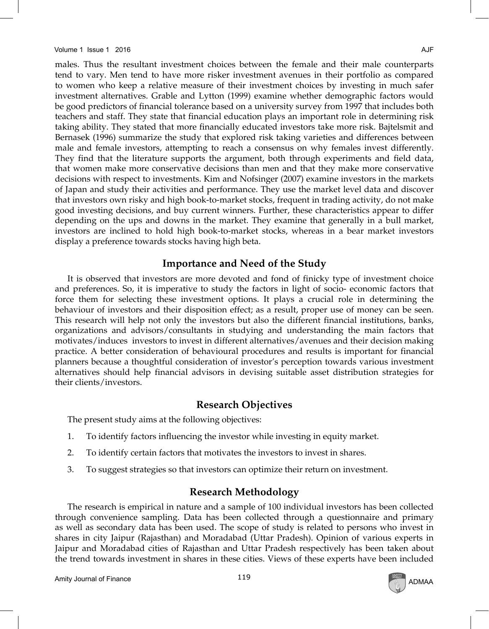males. Thus the resultant investment choices between the female and their male counterparts tend to vary. Men tend to have more risker investment avenues in their portfolio as compared to women who keep a relative measure of their investment choices by investing in much safer investment alternatives. Grable and Lytton (1999) examine whether demographic factors would be good predictors of financial tolerance based on a university survey from 1997 that includes both teachers and staff. They state that financial education plays an important role in determining risk taking ability. They stated that more financially educated investors take more risk. Bajtelsmit and Bernasek (1996) summarize the study that explored risk taking varieties and differences between male and female investors, attempting to reach a consensus on why females invest differently. They find that the literature supports the argument, both through experiments and field data, that women make more conservative decisions than men and that they make more conservative decisions with respect to investments. Kim and Nofsinger (2007) examine investors in the markets of Japan and study their activities and performance. They use the market level data and discover that investors own risky and high book-to-market stocks, frequent in trading activity, do not make good investing decisions, and buy current winners. Further, these characteristics appear to differ depending on the ups and downs in the market. They examine that generally in a bull market, investors are inclined to hold high book-to-market stocks, whereas in a bear market investors display a preference towards stocks having high beta.

# **Importance and Need of the Study**

It is observed that investors are more devoted and fond of finicky type of investment choice and preferences. So, it is imperative to study the factors in light of socio- economic factors that force them for selecting these investment options. It plays a crucial role in determining the behaviour of investors and their disposition effect; as a result, proper use of money can be seen. This research will help not only the investors but also the different financial institutions, banks, organizations and advisors/consultants in studying and understanding the main factors that motivates/induces investors to invest in different alternatives/avenues and their decision making practice. A better consideration of behavioural procedures and results is important for financial planners because a thoughtful consideration of investor's perception towards various investment alternatives should help financial advisors in devising suitable asset distribution strategies for their clients/investors.

# **Research Objectives**

The present study aims at the following objectives:

- 1. To identify factors influencing the investor while investing in equity market.
- 2. To identify certain factors that motivates the investors to invest in shares.
- 3. To suggest strategies so that investors can optimize their return on investment.

# **Research Methodology**

The research is empirical in nature and a sample of 100 individual investors has been collected through convenience sampling. Data has been collected through a questionnaire and primary as well as secondary data has been used. The scope of study is related to persons who invest in shares in city Jaipur (Rajasthan) and Moradabad (Uttar Pradesh). Opinion of various experts in Jaipur and Moradabad cities of Rajasthan and Uttar Pradesh respectively has been taken about the trend towards investment in shares in these cities. Views of these experts have been included

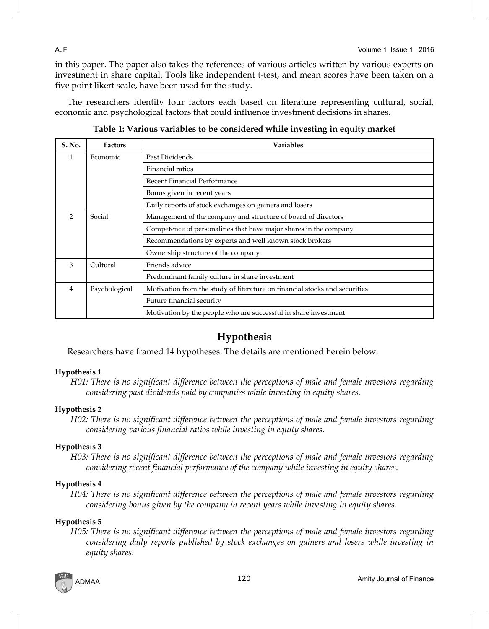in this paper. The paper also takes the references of various articles written by various experts on investment in share capital. Tools like independent t-test, and mean scores have been taken on a five point likert scale, have been used for the study.

The researchers identify four factors each based on literature representing cultural, social, economic and psychological factors that could influence investment decisions in shares.

| S. No.         | <b>Factors</b> | <b>Variables</b>                                                           |  |  |  |  |  |  |  |
|----------------|----------------|----------------------------------------------------------------------------|--|--|--|--|--|--|--|
|                | Economic       | Past Dividends                                                             |  |  |  |  |  |  |  |
|                |                | Financial ratios                                                           |  |  |  |  |  |  |  |
|                |                | Recent Financial Performance                                               |  |  |  |  |  |  |  |
|                |                | Bonus given in recent years                                                |  |  |  |  |  |  |  |
|                |                | Daily reports of stock exchanges on gainers and losers                     |  |  |  |  |  |  |  |
| $\mathcal{D}$  | Social         | Management of the company and structure of board of directors              |  |  |  |  |  |  |  |
|                |                | Competence of personalities that have major shares in the company          |  |  |  |  |  |  |  |
|                |                | Recommendations by experts and well known stock brokers                    |  |  |  |  |  |  |  |
|                |                | Ownership structure of the company                                         |  |  |  |  |  |  |  |
| 3              | Cultural       | Friends advice                                                             |  |  |  |  |  |  |  |
|                |                | Predominant family culture in share investment                             |  |  |  |  |  |  |  |
| $\overline{4}$ | Psychological  | Motivation from the study of literature on financial stocks and securities |  |  |  |  |  |  |  |
|                |                | Future financial security                                                  |  |  |  |  |  |  |  |
|                |                | Motivation by the people who are successful in share investment            |  |  |  |  |  |  |  |

**Table 1: Various variables to be considered while investing in equity market**

# **Hypothesis**

Researchers have framed 14 hypotheses. The details are mentioned herein below:

# **Hypothesis 1**

*H01: There is no significant difference between the perceptions of male and female investors regarding considering past dividends paid by companies while investing in equity shares.*

# **Hypothesis 2**

*H02: There is no significant difference between the perceptions of male and female investors regarding considering various financial ratios while investing in equity shares.*

# **Hypothesis 3**

*H03: There is no significant difference between the perceptions of male and female investors regarding considering recent financial performance of the company while investing in equity shares.*

# **Hypothesis 4**

*H04: There is no significant difference between the perceptions of male and female investors regarding considering bonus given by the company in recent years while investing in equity shares.*

# **Hypothesis 5**

*H05: There is no significant difference between the perceptions of male and female investors regarding considering daily reports published by stock exchanges on gainers and losers while investing in equity shares.*

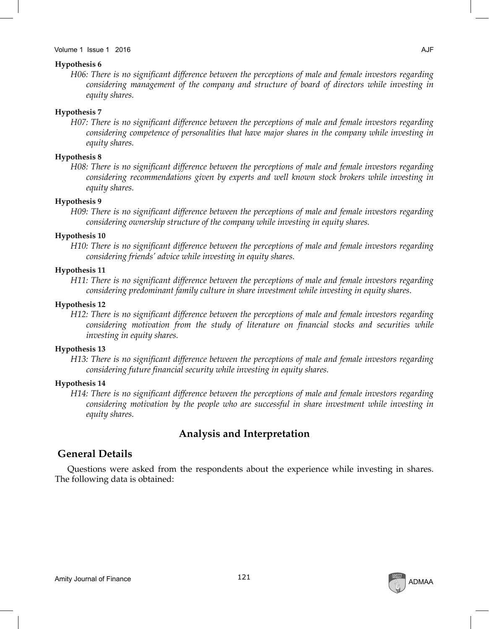#### Volume 1 Issue 1 2016 AJF

#### **Hypothesis 6**

*H06: There is no significant difference between the perceptions of male and female investors regarding considering management of the company and structure of board of directors while investing in equity shares.*

#### **Hypothesis 7**

*H07: There is no significant difference between the perceptions of male and female investors regarding considering competence of personalities that have major shares in the company while investing in equity shares.*

### **Hypothesis 8**

*H08: There is no significant difference between the perceptions of male and female investors regarding considering recommendations given by experts and well known stock brokers while investing in equity shares.*

#### **Hypothesis 9**

*H09: There is no significant difference between the perceptions of male and female investors regarding considering ownership structure of the company while investing in equity shares.*

### **Hypothesis 10**

*H10: There is no significant difference between the perceptions of male and female investors regarding considering friends' advice while investing in equity shares.*

#### **Hypothesis 11**

*H11: There is no significant difference between the perceptions of male and female investors regarding considering predominant family culture in share investment while investing in equity shares.*

### **Hypothesis 12**

*H12: There is no significant difference between the perceptions of male and female investors regarding considering motivation from the study of literature on financial stocks and securities while investing in equity shares.*

#### **Hypothesis 13**

*H13: There is no significant difference between the perceptions of male and female investors regarding considering future financial security while investing in equity shares.*

#### **Hypothesis 14**

*H14: There is no significant difference between the perceptions of male and female investors regarding considering motivation by the people who are successful in share investment while investing in equity shares.*

# **Analysis and Interpretation**

# **General Details**

Questions were asked from the respondents about the experience while investing in shares. The following data is obtained:

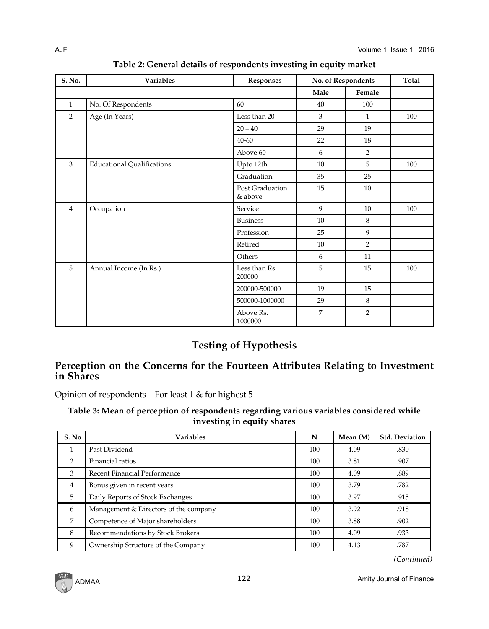| S. No.         | <b>Variables</b><br>Responses     |                            | No. of Respondents |                | Total |
|----------------|-----------------------------------|----------------------------|--------------------|----------------|-------|
|                |                                   |                            | Male               | Female         |       |
| $\mathbf{1}$   | No. Of Respondents                | 60                         | 40                 | 100            |       |
| 2              | Age (In Years)                    | Less than 20               | 3                  | $\mathbf{1}$   | 100   |
|                |                                   | $20 - 40$                  | 29                 | 19             |       |
|                |                                   | $40 - 60$                  | 22                 | 18             |       |
|                |                                   | Above 60                   | 6                  | $\overline{2}$ |       |
| 3              | <b>Educational Qualifications</b> | Upto 12th                  | 10                 | 5              | 100   |
|                |                                   | Graduation                 | 35                 | 25             |       |
|                |                                   | Post Graduation<br>& above | 15                 | 10             |       |
| $\overline{4}$ | Occupation                        | Service                    | 9                  | 10             | 100   |
|                |                                   | <b>Business</b>            | 10                 | 8              |       |
|                |                                   | Profession                 | 25                 | 9              |       |
|                |                                   | Retired                    | 10                 | $\overline{2}$ |       |
|                |                                   | Others                     | 6                  | 11             |       |
| 5              | Annual Income (In Rs.)            | Less than Rs.<br>200000    | 5                  | 15             | 100   |
|                |                                   | 200000-500000              | 19                 | 15             |       |
|                |                                   | 500000-1000000             | 29                 | 8              |       |
|                |                                   | Above Rs.<br>1000000       | 7                  | $\overline{2}$ |       |

| Table 2: General details of respondents investing in equity market |  |  |
|--------------------------------------------------------------------|--|--|
|                                                                    |  |  |

# **Testing of Hypothesis**

# **Perception on the Concerns for the Fourteen Attributes Relating to Investment in Shares**

Opinion of respondents – For least 1 & for highest 5

# **Table 3: Mean of perception of respondents regarding various variables considered while investing in equity shares**

| S. No          | <b>Variables</b>                      | N   | Mean (M) | <b>Std. Deviation</b> |
|----------------|---------------------------------------|-----|----------|-----------------------|
|                | Past Dividend                         | 100 | 4.09     | .830                  |
| $\mathcal{P}$  | Financial ratios                      | 100 | 3.81     | .907                  |
| 3              | Recent Financial Performance          | 100 | 4.09     | .889                  |
| $\overline{4}$ | Bonus given in recent years           | 100 | 3.79     | .782                  |
| 5              | Daily Reports of Stock Exchanges      | 100 | 3.97     | .915                  |
| 6              | Management & Directors of the company | 100 | 3.92     | .918                  |
| 7              | Competence of Major shareholders      | 100 | 3.88     | .902                  |
| 8              | Recommendations by Stock Brokers      | 100 | 4.09     | .933                  |
| 9              | Ownership Structure of the Company    | 100 | 4.13     | .787                  |

*(Continued)*

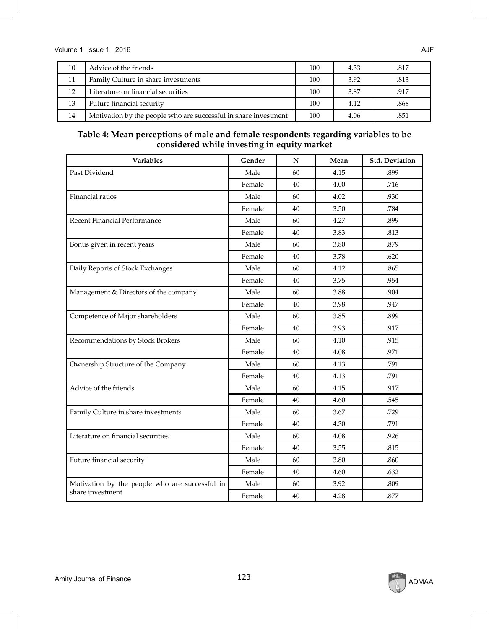| 10 | Advice of the friends                                           | 100 | 4.33 | .817 |
|----|-----------------------------------------------------------------|-----|------|------|
| 11 | Family Culture in share investments                             | 100 | 3.92 | .813 |
| 12 | Literature on financial securities                              | 100 | 3.87 | .917 |
| 13 | Future financial security                                       | 100 | 4.12 | .868 |
| 14 | Motivation by the people who are successful in share investment | 100 | 4.06 | .851 |

# **Table 4: Mean perceptions of male and female respondents regarding variables to be considered while investing in equity market**

| <b>Variables</b>                               | Gender | N  | Mean | <b>Std. Deviation</b> |
|------------------------------------------------|--------|----|------|-----------------------|
| Past Dividend                                  | Male   | 60 | 4.15 | .899                  |
|                                                | Female | 40 | 4.00 | .716                  |
| Financial ratios                               | Male   | 60 | 4.02 | .930                  |
|                                                | Female | 40 | 3.50 | .784                  |
| Recent Financial Performance                   | Male   | 60 | 4.27 | .899                  |
|                                                | Female | 40 | 3.83 | .813                  |
| Bonus given in recent years                    | Male   | 60 | 3.80 | .879                  |
|                                                | Female | 40 | 3.78 | .620                  |
| Daily Reports of Stock Exchanges               | Male   | 60 | 4.12 | .865                  |
|                                                | Female | 40 | 3.75 | .954                  |
| Management & Directors of the company          | Male   | 60 | 3.88 | .904                  |
|                                                | Female | 40 | 3.98 | .947                  |
| Competence of Major shareholders               | Male   | 60 | 3.85 | .899                  |
|                                                | Female | 40 | 3.93 | .917                  |
| Recommendations by Stock Brokers               | Male   | 60 | 4.10 | .915                  |
|                                                | Female | 40 | 4.08 | .971                  |
| Ownership Structure of the Company             | Male   | 60 | 4.13 | .791                  |
|                                                | Female | 40 | 4.13 | .791                  |
| Advice of the friends                          | Male   | 60 | 4.15 | .917                  |
|                                                | Female | 40 | 4.60 | .545                  |
| Family Culture in share investments            | Male   | 60 | 3.67 | .729                  |
|                                                | Female | 40 | 4.30 | .791                  |
| Literature on financial securities             | Male   | 60 | 4.08 | .926                  |
|                                                | Female | 40 | 3.55 | .815                  |
| Future financial security                      | Male   | 60 | 3.80 | .860                  |
|                                                | Female | 40 | 4.60 | .632                  |
| Motivation by the people who are successful in | Male   | 60 | 3.92 | .809                  |
| share investment                               | Female | 40 | 4.28 | .877                  |

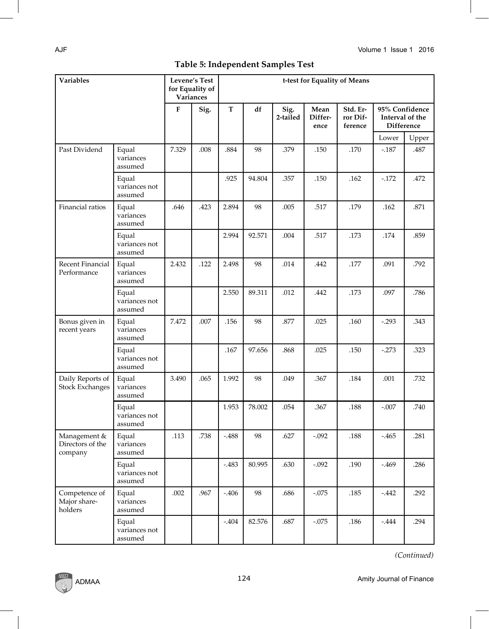| Table 5: Independent Samples Test |  |  |  |  |
|-----------------------------------|--|--|--|--|
|                                   |  |  |  |  |

| Variables                                   |                                   |       | <b>Levene's Test</b><br>for Equality of<br>Variances | t-test for Equality of Means |        |                  |                         |                                 |                               |                |  |
|---------------------------------------------|-----------------------------------|-------|------------------------------------------------------|------------------------------|--------|------------------|-------------------------|---------------------------------|-------------------------------|----------------|--|
|                                             |                                   | F     | Sig.                                                 | T                            | df     | Sig.<br>2-tailed | Mean<br>Differ-<br>ence | Std. Er-<br>ror Dif-<br>ference | Interval of the<br>Difference | 95% Confidence |  |
|                                             |                                   |       |                                                      |                              |        |                  |                         |                                 | Lower                         | Upper          |  |
| Past Dividend                               | Equal<br>variances<br>assumed     | 7.329 | .008                                                 | .884                         | 98     | .379             | .150                    | .170                            | $-187$                        | .487           |  |
|                                             | Equal<br>variances not<br>assumed |       |                                                      | .925                         | 94.804 | .357             | .150                    | .162                            | $-172$                        | .472           |  |
| Financial ratios                            | Equal<br>variances<br>assumed     | .646  | .423                                                 | 2.894                        | 98     | .005             | .517                    | .179                            | .162                          | .871           |  |
|                                             | Equal<br>variances not<br>assumed |       |                                                      | 2.994                        | 92.571 | .004             | .517                    | .173                            | .174                          | .859           |  |
| Recent Financial<br>Performance             | Equal<br>variances<br>assumed     | 2.432 | .122                                                 | 2.498                        | 98     | .014             | .442                    | .177                            | .091                          | .792           |  |
|                                             | Equal<br>variances not<br>assumed |       |                                                      | 2.550                        | 89.311 | .012             | .442                    | .173                            | .097                          | .786           |  |
| Bonus given in<br>recent years              | Equal<br>variances<br>assumed     | 7.472 | .007                                                 | .156                         | 98     | .877             | .025                    | .160                            | $-0.293$                      | .343           |  |
|                                             | Equal<br>variances not<br>assumed |       |                                                      | .167                         | 97.656 | .868             | .025                    | .150                            | $-273$                        | .323           |  |
| Daily Reports of<br><b>Stock Exchanges</b>  | Equal<br>variances<br>assumed     | 3.490 | .065                                                 | 1.992                        | 98     | .049             | .367                    | .184                            | .001                          | .732           |  |
|                                             | Equal<br>variances not<br>assumed |       |                                                      | 1.953                        | 78.002 | .054             | .367                    | .188                            | $-.007$                       | .740           |  |
| Management &<br>Directors of the<br>company | Equal<br>variances<br>assumed     | .113  | .738                                                 | $-.488$                      | 98     | .627             | $-.092$                 | .188                            | $-465$                        | .281           |  |
|                                             | Equal<br>variances not<br>assumed |       |                                                      | $-.483$                      | 80.995 | .630             | $-.092$                 | .190                            | $-469$                        | .286           |  |
| Competence of<br>Major share-<br>holders    | Equal<br>variances<br>assumed     | .002  | .967                                                 | $-406$                       | 98     | .686             | $-.075$                 | .185                            | $-442$                        | .292           |  |
|                                             | Equal<br>variances not<br>assumed |       |                                                      | $-404$                       | 82.576 | .687             | $-.075$                 | .186                            | $-0.444$                      | .294           |  |

*(Continued)*



 $\overline{\phantom{a}}$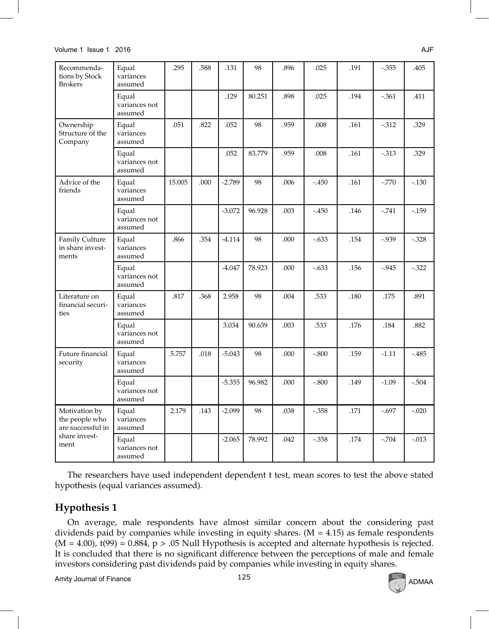#### Volume 1 Issue 1 2016 AJF

| Recommenda-<br>tions by Stock<br><b>Brokers</b>      | Equal<br>variances<br>assumed     | .295   | .588 | .131     | 98     | .896 | .025    | .191 | $-0.355$ | .405     |
|------------------------------------------------------|-----------------------------------|--------|------|----------|--------|------|---------|------|----------|----------|
|                                                      | Equal<br>variances not<br>assumed |        |      | .129     | 80.251 | .898 | .025    | .194 | $-.361$  | .411     |
| Ownership<br>Structure of the<br>Company             | Equal<br>variances<br>assumed     | .051   | .822 | .052     | 98     | .959 | .008    | .161 | $-312$   | .329     |
|                                                      | Equal<br>variances not<br>assumed |        |      | .052     | 83.779 | .959 | .008    | .161 | $-0.313$ | .329     |
| Advice of the<br>friends                             | Equal<br>variances<br>assumed     | 15.005 | .000 | $-2.789$ | 98     | .006 | $-450$  | .161 | $-.770$  | $-0.130$ |
|                                                      | Equal<br>variances not<br>assumed |        |      | $-3.072$ | 96.928 | .003 | $-450$  | .146 | $-741$   | $-159$   |
| Family Culture<br>in share invest-<br>ments          | Equal<br>variances<br>assumed     | .866   | .354 | $-4.114$ | 98     | .000 | $-.633$ | .154 | $-0.939$ | $-.328$  |
|                                                      | Equal<br>variances not<br>assumed |        |      | $-4.047$ | 78.923 | .000 | $-.633$ | .156 | $-0.945$ | $-0.322$ |
| Literature on<br>financial securi-<br>ties           | Equal<br>variances<br>assumed     | .817   | .368 | 2.958    | 98     | .004 | .533    | .180 | .175     | .891     |
|                                                      | Equal<br>variances not<br>assumed |        |      | 3.034    | 90.639 | .003 | .533    | .176 | .184     | .882     |
| Future financial<br>security                         | Equal<br>variances<br>assumed     | 5.757  | .018 | $-5.043$ | 98     | .000 | $-.800$ | .159 | $-1.11$  | $-485$   |
|                                                      | Equal<br>variances not<br>assumed |        |      | $-5.355$ | 96.982 | .000 | $-.800$ | .149 | $-1.09$  | $-.504$  |
| Motivation by<br>the people who<br>are successful in | Equal<br>variances<br>assumed     | 2.179  | .143 | $-2.099$ | 98     | .038 | $-.358$ | .171 | $-0.697$ | $-.020$  |
| share invest-<br>ment                                | Equal<br>variances not<br>assumed |        |      | $-2.065$ | 78.992 | .042 | $-.358$ | .174 | $-704$   | $-.013$  |

The researchers have used independent dependent t test, mean scores to test the above stated hypothesis (equal variances assumed).

# **Hypothesis 1**

On average, male respondents have almost similar concern about the considering past dividends paid by companies while investing in equity shares.  $(M = 4.15)$  as female respondents  $(M = 4.00)$ , t(99) = 0.884,  $p > .05$  Null Hypothesis is accepted and alternate hypothesis is rejected. It is concluded that there is no significant difference between the perceptions of male and female investors considering past dividends paid by companies while investing in equity shares.

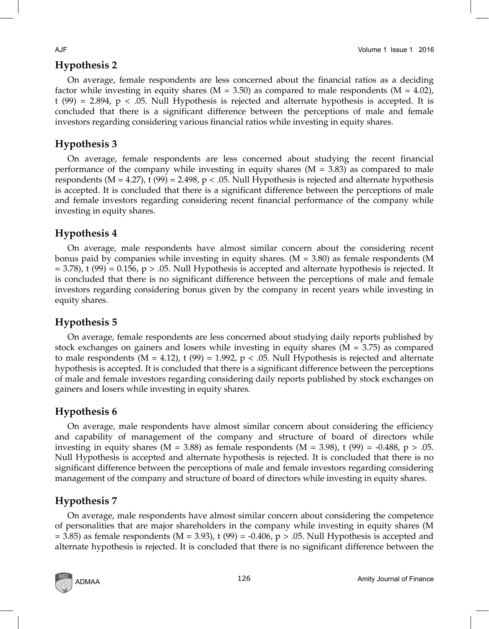# **Hypothesis 2**

On average, female respondents are less concerned about the financial ratios as a deciding factor while investing in equity shares ( $M = 3.50$ ) as compared to male respondents ( $M = 4.02$ ), t (99) = 2.894,  $p < .05$ . Null Hypothesis is rejected and alternate hypothesis is accepted. It is concluded that there is a significant difference between the perceptions of male and female investors regarding considering various financial ratios while investing in equity shares.

# **Hypothesis 3**

On average, female respondents are less concerned about studying the recent financial performance of the company while investing in equity shares  $(M = 3.83)$  as compared to male respondents ( $M = 4.27$ ), t (99) = 2.498, p < .05. Null Hypothesis is rejected and alternate hypothesis is accepted. It is concluded that there is a significant difference between the perceptions of male and female investors regarding considering recent financial performance of the company while investing in equity shares.

# **Hypothesis 4**

On average, male respondents have almost similar concern about the considering recent bonus paid by companies while investing in equity shares. (M = 3.80) as female respondents (M  $= 3.78$ ), t (99) = 0.156, p > .05. Null Hypothesis is accepted and alternate hypothesis is rejected. It is concluded that there is no significant difference between the perceptions of male and female investors regarding considering bonus given by the company in recent years while investing in equity shares.

# **Hypothesis 5**

On average, female respondents are less concerned about studying daily reports published by stock exchanges on gainers and losers while investing in equity shares ( $M = 3.75$ ) as compared to male respondents ( $M = 4.12$ ), t (99) = 1.992, p < .05. Null Hypothesis is rejected and alternate hypothesis is accepted. It is concluded that there is a significant difference between the perceptions of male and female investors regarding considering daily reports published by stock exchanges on gainers and losers while investing in equity shares.

# **Hypothesis 6**

On average, male respondents have almost similar concern about considering the efficiency and capability of management of the company and structure of board of directors while investing in equity shares (M = 3.88) as female respondents (M = 3.98), t (99) = -0.488, p > .05. Null Hypothesis is accepted and alternate hypothesis is rejected. It is concluded that there is no significant difference between the perceptions of male and female investors regarding considering management of the company and structure of board of directors while investing in equity shares.

# **Hypothesis 7**

On average, male respondents have almost similar concern about considering the competence of personalities that are major shareholders in the company while investing in equity shares (M  $= 3.85$ ) as female respondents (M  $= 3.93$ ), t (99)  $= -0.406$ , p  $> .05$ . Null Hypothesis is accepted and alternate hypothesis is rejected. It is concluded that there is no significant difference between the

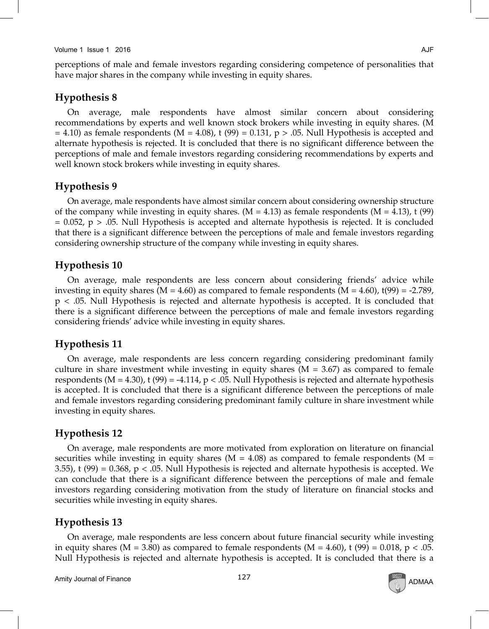#### Volume 1 Issue 1 2016 AJF

perceptions of male and female investors regarding considering competence of personalities that have major shares in the company while investing in equity shares.

# **Hypothesis 8**

On average, male respondents have almost similar concern about considering recommendations by experts and well known stock brokers while investing in equity shares. (M  $= 4.10$ ) as female respondents (M = 4.08), t (99) = 0.131, p > .05. Null Hypothesis is accepted and alternate hypothesis is rejected. It is concluded that there is no significant difference between the perceptions of male and female investors regarding considering recommendations by experts and well known stock brokers while investing in equity shares.

### **Hypothesis 9**

On average, male respondents have almost similar concern about considering ownership structure of the company while investing in equity shares. (M = 4.13) as female respondents (M = 4.13), t (99)  $= 0.052$ ,  $p > .05$ . Null Hypothesis is accepted and alternate hypothesis is rejected. It is concluded that there is a significant difference between the perceptions of male and female investors regarding considering ownership structure of the company while investing in equity shares.

# **Hypothesis 10**

On average, male respondents are less concern about considering friends' advice while investing in equity shares ( $M = 4.60$ ) as compared to female respondents ( $M = 4.60$ ),  $t(99) = -2.789$ , p < .05. Null Hypothesis is rejected and alternate hypothesis is accepted. It is concluded that there is a significant difference between the perceptions of male and female investors regarding considering friends' advice while investing in equity shares.

# **Hypothesis 11**

On average, male respondents are less concern regarding considering predominant family culture in share investment while investing in equity shares  $(M = 3.67)$  as compared to female respondents ( $M = 4.30$ ), t (99) = -4.114, p < .05. Null Hypothesis is rejected and alternate hypothesis is accepted. It is concluded that there is a significant difference between the perceptions of male and female investors regarding considering predominant family culture in share investment while investing in equity shares.

# **Hypothesis 12**

On average, male respondents are more motivated from exploration on literature on financial securities while investing in equity shares ( $M = 4.08$ ) as compared to female respondents ( $M =$ 3.55), t (99) =  $0.368$ , p < .05. Null Hypothesis is rejected and alternate hypothesis is accepted. We can conclude that there is a significant difference between the perceptions of male and female investors regarding considering motivation from the study of literature on financial stocks and securities while investing in equity shares.

### **Hypothesis 13**

On average, male respondents are less concern about future financial security while investing in equity shares ( $M = 3.80$ ) as compared to female respondents ( $M = 4.60$ ), t (99) = 0.018, p < .05. Null Hypothesis is rejected and alternate hypothesis is accepted. It is concluded that there is a

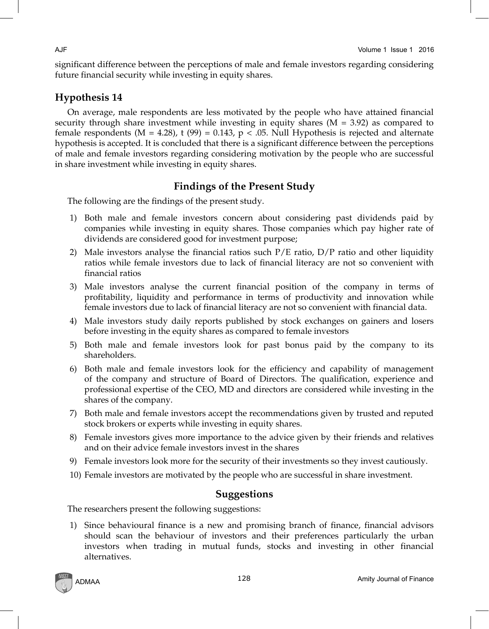significant difference between the perceptions of male and female investors regarding considering future financial security while investing in equity shares.

# **Hypothesis 14**

On average, male respondents are less motivated by the people who have attained financial security through share investment while investing in equity shares  $(M = 3.92)$  as compared to female respondents  $(M = 4.28)$ , t  $(99) = 0.143$ , p < .05. Null Hypothesis is rejected and alternate hypothesis is accepted. It is concluded that there is a significant difference between the perceptions of male and female investors regarding considering motivation by the people who are successful in share investment while investing in equity shares.

# **Findings of the Present Study**

The following are the findings of the present study.

- 1) Both male and female investors concern about considering past dividends paid by companies while investing in equity shares. Those companies which pay higher rate of dividends are considered good for investment purpose;
- 2) Male investors analyse the financial ratios such  $P/E$  ratio,  $D/P$  ratio and other liquidity ratios while female investors due to lack of financial literacy are not so convenient with financial ratios
- 3) Male investors analyse the current financial position of the company in terms of profitability, liquidity and performance in terms of productivity and innovation while female investors due to lack of financial literacy are not so convenient with financial data.
- 4) Male investors study daily reports published by stock exchanges on gainers and losers before investing in the equity shares as compared to female investors
- 5) Both male and female investors look for past bonus paid by the company to its shareholders.
- 6) Both male and female investors look for the efficiency and capability of management of the company and structure of Board of Directors. The qualification, experience and professional expertise of the CEO, MD and directors are considered while investing in the shares of the company.
- 7) Both male and female investors accept the recommendations given by trusted and reputed stock brokers or experts while investing in equity shares.
- 8) Female investors gives more importance to the advice given by their friends and relatives and on their advice female investors invest in the shares
- 9) Female investors look more for the security of their investments so they invest cautiously.
- 10) Female investors are motivated by the people who are successful in share investment.

# **Suggestions**

The researchers present the following suggestions:

1) Since behavioural finance is a new and promising branch of finance, financial advisors should scan the behaviour of investors and their preferences particularly the urban investors when trading in mutual funds, stocks and investing in other financial alternatives.

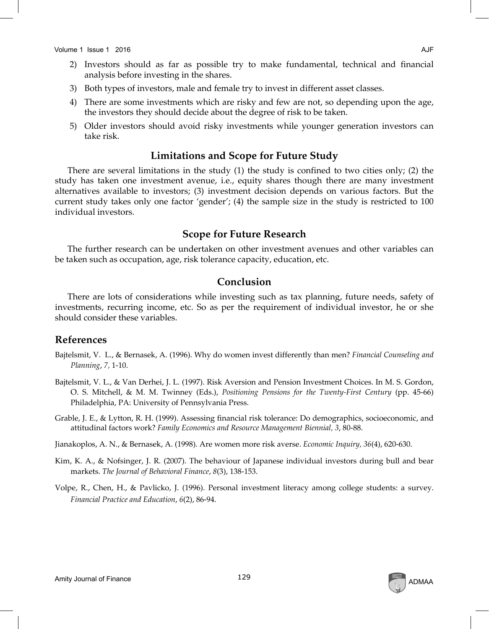- 2) Investors should as far as possible try to make fundamental, technical and financial analysis before investing in the shares.
- 3) Both types of investors, male and female try to invest in different asset classes.
- 4) There are some investments which are risky and few are not, so depending upon the age, the investors they should decide about the degree of risk to be taken.
- 5) Older investors should avoid risky investments while younger generation investors can take risk.

# **Limitations and Scope for Future Study**

There are several limitations in the study (1) the study is confined to two cities only; (2) the study has taken one investment avenue, i.e., equity shares though there are many investment alternatives available to investors; (3) investment decision depends on various factors. But the current study takes only one factor 'gender'; (4) the sample size in the study is restricted to 100 individual investors.

# **Scope for Future Research**

The further research can be undertaken on other investment avenues and other variables can be taken such as occupation, age, risk tolerance capacity, education, etc.

# **Conclusion**

There are lots of considerations while investing such as tax planning, future needs, safety of investments, recurring income, etc. So as per the requirement of individual investor, he or she should consider these variables.

# **References**

- Bajtelsmit, V. L., & Bernasek, A. (1996). Why do women invest differently than men? *Financial Counseling and Planning*, *7,* 1-10.
- Bajtelsmit, V. L., & Van Derhei, J. L. (1997). Risk Aversion and Pension Investment Choices. In M. S. Gordon, O. S. Mitchell, & M. M. Twinney (Eds.), *Positioning Pensions for the Twenty-First Century* (pp. 45-66) Philadelphia, PA: University of Pennsylvania Press.
- Grable, J. E., & Lytton, R. H. (1999). Assessing financial risk tolerance: Do demographics, socioeconomic, and attitudinal factors work? *Family Economics and Resource Management Biennial, 3*, 80-88.

Jianakoplos, A. N., & Bernasek, A. (1998). Are women more risk averse. *Economic Inquiry, 36*(4), 620-630.

- Kim, K. A., & Nofsinger, J. R. (2007). The behaviour of Japanese individual investors during bull and bear markets. *The Journal of Behavioral Finance*, *8*(3), 138-153.
- Volpe, R., Chen, H., & Pavlicko, J. (1996). Personal investment literacy among college students: a survey. *Financial Practice and Education*, *6*(2), 86-94.